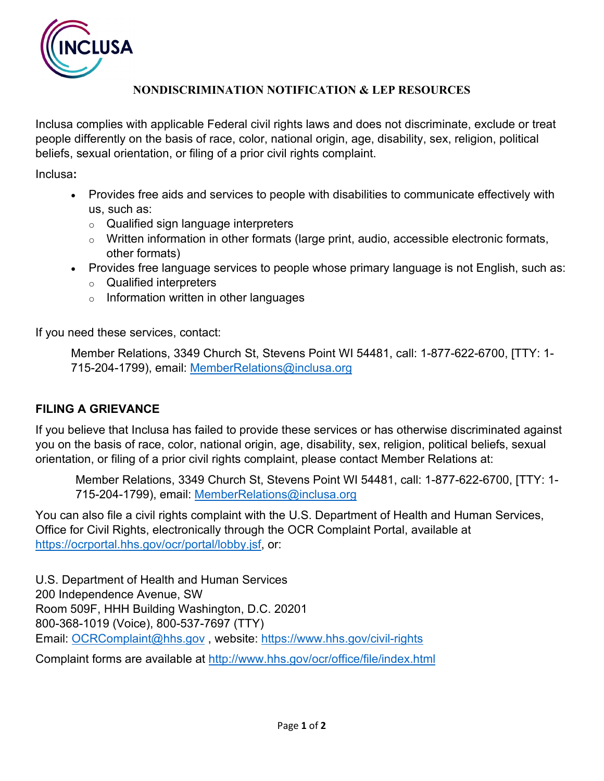

## **NONDISCRIMINATION NOTIFICATION & LEP RESOURCES**

Inclusa complies with applicable Federal civil rights laws and does not discriminate, exclude or treat people differently on the basis of race, color, national origin, age, disability, sex, religion, political beliefs, sexual orientation, or filing of a prior civil rights complaint.

Inclusa**:**

- Provides free aids and services to people with disabilities to communicate effectively with us, such as:
	- o Qualified sign language interpreters
	- o Written information in other formats (large print, audio, accessible electronic formats, other formats)
- Provides free language services to people whose primary language is not English, such as:
	- o Qualified interpreters
	- $\circ$  Information written in other languages

If you need these services, contact:

Member Relations, 3349 Church St, Stevens Point WI 54481, call: 1-877-622-6700, [TTY: 1- 715-204-1799), email: [MemberRelations@inclusa.org](mailto:MemberRelations@inclusa.org)

## **FILING A GRIEVANCE**

If you believe that Inclusa has failed to provide these services or has otherwise discriminated against you on the basis of race, color, national origin, age, disability, sex, religion, political beliefs, sexual orientation, or filing of a prior civil rights complaint, please contact Member Relations at:

Member Relations, 3349 Church St, Stevens Point WI 54481, call: 1-877-622-6700, [TTY: 1- 715-204-1799), email: [MemberRelations@inclusa.org](mailto:MemberRelations@inclusa.org)

You can also file a civil rights complaint with the U.S. Department of Health and Human Services, Office for Civil Rights, electronically through the OCR Complaint Portal, available at [https://ocrportal.hhs.gov/ocr/portal/lobby.jsf,](https://ocrportal.hhs.gov/ocr/portal/lobby.jsf) or:

U.S. Department of Health and Human Services 200 Independence Avenue, SW Room 509F, HHH Building Washington, D.C. 20201 800-368-1019 (Voice), 800-537-7697 (TTY) Email: [OCRComplaint@hhs.gov](mailto:OCRComplaint@hhs.gov) , website:<https://www.hhs.gov/civil-rights>

Complaint forms are available at http://www.hhs.gov/ocr/office/file/index.html